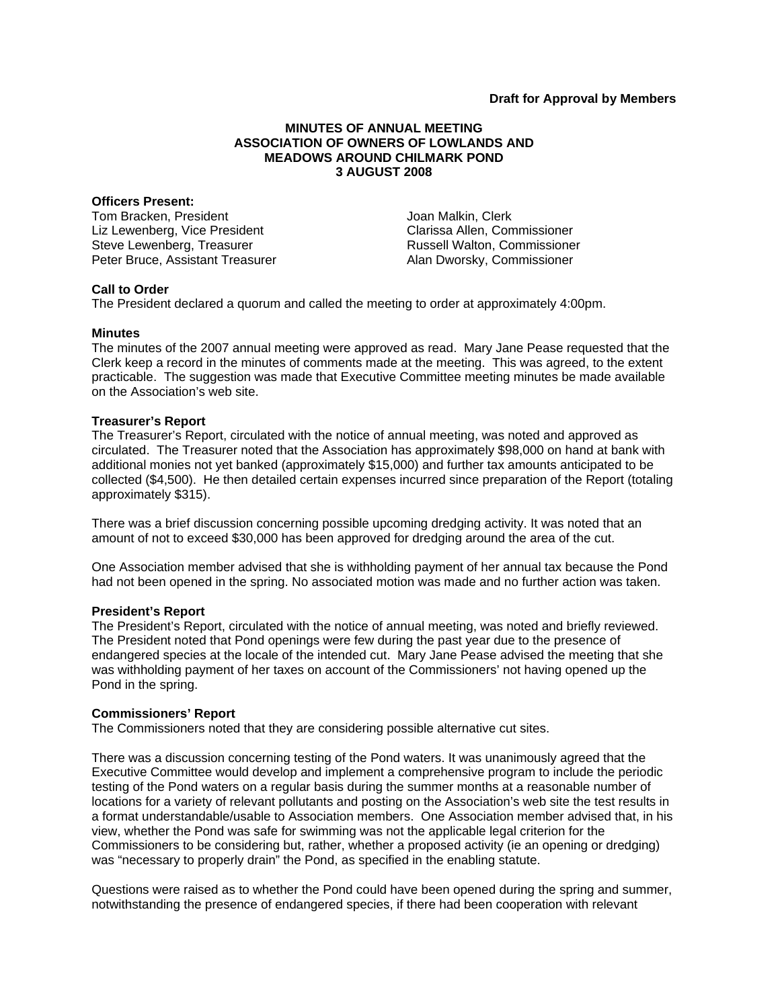# **MINUTES OF ANNUAL MEETING ASSOCIATION OF OWNERS OF LOWLANDS AND MEADOWS AROUND CHILMARK POND 3 AUGUST 2008**

#### **Officers Present:**

Tom Bracken, President Liz Lewenberg, Vice President Steve Lewenberg, Treasurer Peter Bruce, Assistant Treasurer Joan Malkin, Clerk Clarissa Allen, Commissioner Russell Walton, Commissioner Alan Dworsky, Commissioner

### **Call to Order**

The President declared a quorum and called the meeting to order at approximately 4:00pm.

### **Minutes**

The minutes of the 2007 annual meeting were approved as read. Mary Jane Pease requested that the Clerk keep a record in the minutes of comments made at the meeting. This was agreed, to the extent practicable. The suggestion was made that Executive Committee meeting minutes be made available on the Association's web site.

### **Treasurer's Report**

The Treasurer's Report, circulated with the notice of annual meeting, was noted and approved as circulated. The Treasurer noted that the Association has approximately \$98,000 on hand at bank with additional monies not yet banked (approximately \$15,000) and further tax amounts anticipated to be collected (\$4,500). He then detailed certain expenses incurred since preparation of the Report (totaling approximately \$315).

There was a brief discussion concerning possible upcoming dredging activity. It was noted that an amount of not to exceed \$30,000 has been approved for dredging around the area of the cut.

One Association member advised that she is withholding payment of her annual tax because the Pond had not been opened in the spring. No associated motion was made and no further action was taken.

#### **President's Report**

The President's Report, circulated with the notice of annual meeting, was noted and briefly reviewed. The President noted that Pond openings were few during the past year due to the presence of endangered species at the locale of the intended cut. Mary Jane Pease advised the meeting that she was withholding payment of her taxes on account of the Commissioners' not having opened up the Pond in the spring.

# **Commissioners' Report**

The Commissioners noted that they are considering possible alternative cut sites.

There was a discussion concerning testing of the Pond waters. It was unanimously agreed that the Executive Committee would develop and implement a comprehensive program to include the periodic testing of the Pond waters on a regular basis during the summer months at a reasonable number of locations for a variety of relevant pollutants and posting on the Association's web site the test results in a format understandable/usable to Association members. One Association member advised that, in his view, whether the Pond was safe for swimming was not the applicable legal criterion for the Commissioners to be considering but, rather, whether a proposed activity (ie an opening or dredging) was "necessary to properly drain" the Pond, as specified in the enabling statute.

Questions were raised as to whether the Pond could have been opened during the spring and summer, notwithstanding the presence of endangered species, if there had been cooperation with relevant